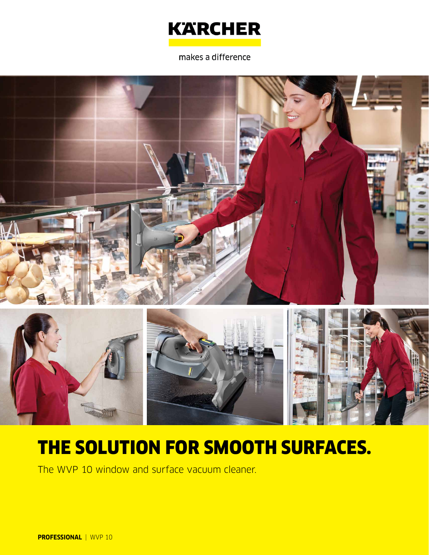

makes a difference



# THE SOLUTION FOR SMOOTH SURFACES.

The WVP 10 window and surface vacuum cleaner.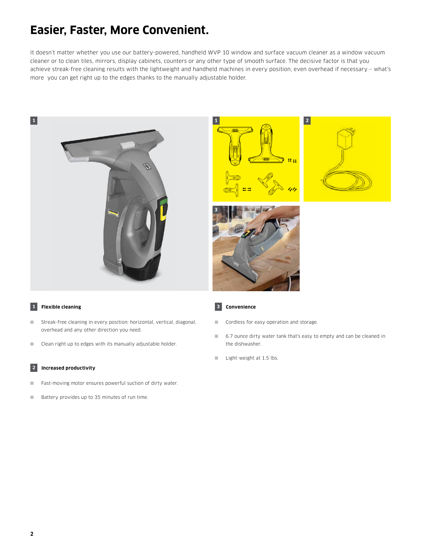### **Easier, Faster, More Convenient.**

It doesn't matter whether you use our battery-powered, handheld WVP 10 window and surface vacuum cleaner as a window vacuum cleaner or to clean tiles, mirrors, display cabinets, counters or any other type of smooth surface. The decisive factor is that you achieve streak-free cleaning results with the lightweight and handheld machines in every position, even overhead if necessary – what's more you can get right up to the edges thanks to the manually adjustable holder.





### **1 Flexible cleaning**

- Streak-free cleaning in every position: horizontal, vertical, diagonal, overhead and any other direction you need.
- Clean right up to edges with its manually adjustable holder.



### **2 Increased productivity**

- Fast-moving motor ensures powerful suction of dirty water.
- Battery provides up to 35 minutes of run time.

### **3 Convenience**

- Cordless for easy operation and storage.
- 6.7 ounce dirty water tank that's easy to empty and can be cleaned in the dishwasher.
- Light-weight at 1.5 lbs.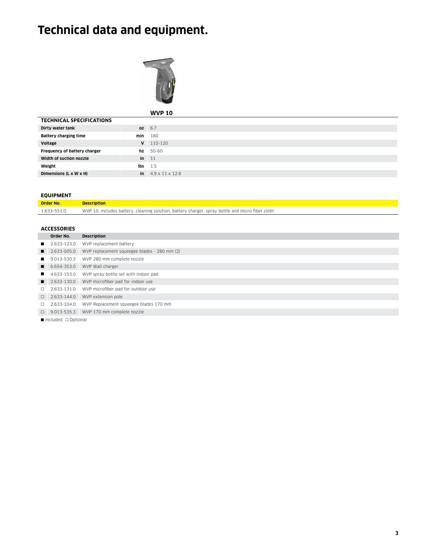## **Technical data and equipment.**



|                                 |                  | <b>WVP 10</b>                  |
|---------------------------------|------------------|--------------------------------|
| <b>TECHNICAL SPECIFICATIONS</b> |                  |                                |
| Dirty water tank                | <b>OZ</b>        | 6.7                            |
| <b>Battery charging time</b>    | <b>min</b> 180   |                                |
| Voltage                         |                  | $V = 110 - 120$                |
| Frequency of battery charger    |                  | $hz$ 50-60                     |
| Width of suction nozzle         | $\mathbf{in}$ 11 |                                |
| Weight                          | lbs              | 1.5                            |
| Dimensions (L x W x H)          |                  | in $4.9 \times 11 \times 12.8$ |

### **EQUIPMENT**

| __________       |                                                                                                  |
|------------------|--------------------------------------------------------------------------------------------------|
| <b>Order No.</b> | <b>Description</b>                                                                               |
| 1.633-551.0      | WVP 10, includes battery, cleaning solution, battery charger, spray bottle and micro fiber cloth |
|                  |                                                                                                  |

### **ACCESSORIES**

|                                         | Order No.                  | <b>Description</b>                           |
|-----------------------------------------|----------------------------|----------------------------------------------|
|                                         | 2.633-123.0                | WVP replacement battery                      |
|                                         | 2.633-005.0                | WVP replacement squeegee blades - 280 mm (2) |
|                                         | 9.013-530.3                | WVP 280 mm complete nozzle                   |
|                                         | 6.654-353.0                | WVP Wall charger                             |
|                                         | 4.633-153.0                | WVP spray bottle set with indoor pad         |
|                                         | $\blacksquare$ 2.633-130.0 | WVP microfiber pad for indoor use            |
| $\Box$                                  | 2.633-131.0                | WVP microfiber pad for outdoor use           |
| $\Box$                                  | 2.633-144.0                | WVP extension pole                           |
| $\Box$                                  | 2.633-104.0                | WVP Replacement squeegee blades 170 mm       |
| $\Box$                                  |                            | 9.013-535.3 WVP 170 mm complete nozzle       |
| $\blacksquare$ Included $\Box$ Optional |                            |                                              |